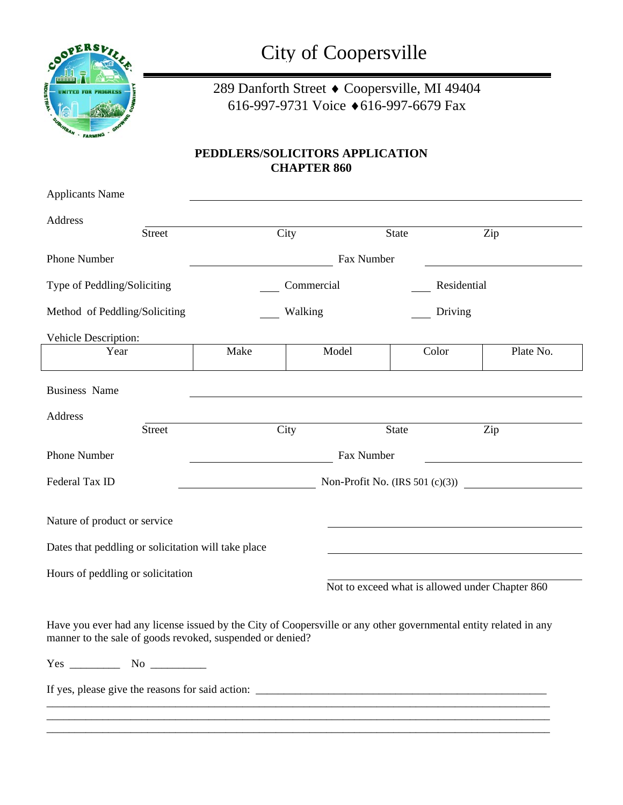

City of Coopersville

289 Danforth Street ♦ Coopersville, MI 49404 616-997-9731 Voice ♦616-997-6679 Fax

## **PEDDLERS/SOLICITORS APPLICATION CHAPTER 860**

| <b>Applicants Name</b>                                                                                                                                                        |               |                                   |            |                                                 |             |           |  |
|-------------------------------------------------------------------------------------------------------------------------------------------------------------------------------|---------------|-----------------------------------|------------|-------------------------------------------------|-------------|-----------|--|
| Address                                                                                                                                                                       | <b>Street</b> |                                   | City       | State                                           | Zip         |           |  |
| Phone Number                                                                                                                                                                  |               |                                   | Fax Number |                                                 |             |           |  |
| Type of Peddling/Soliciting                                                                                                                                                   |               |                                   |            |                                                 |             |           |  |
|                                                                                                                                                                               |               |                                   | Commercial |                                                 | Residential |           |  |
| Method of Peddling/Soliciting                                                                                                                                                 |               |                                   | Walking    |                                                 | Driving     |           |  |
| Vehicle Description:                                                                                                                                                          |               |                                   |            |                                                 |             |           |  |
| Year                                                                                                                                                                          |               | Make                              | Model      | Color                                           |             | Plate No. |  |
| <b>Business Name</b>                                                                                                                                                          |               |                                   |            |                                                 |             |           |  |
| Address                                                                                                                                                                       |               |                                   |            |                                                 |             |           |  |
|                                                                                                                                                                               | <b>Street</b> | City                              |            | State                                           | Zip         |           |  |
| Phone Number                                                                                                                                                                  |               | Fax Number                        |            |                                                 |             |           |  |
| Federal Tax ID                                                                                                                                                                |               | Non-Profit No. $(IRS 501 (c)(3))$ |            |                                                 |             |           |  |
| Nature of product or service                                                                                                                                                  |               |                                   |            |                                                 |             |           |  |
| Dates that peddling or solicitation will take place                                                                                                                           |               |                                   |            |                                                 |             |           |  |
| Hours of peddling or solicitation                                                                                                                                             |               |                                   |            |                                                 |             |           |  |
|                                                                                                                                                                               |               |                                   |            | Not to exceed what is allowed under Chapter 860 |             |           |  |
| Have you ever had any license issued by the City of Coopersville or any other governmental entity related in any<br>manner to the sale of goods revoked, suspended or denied? |               |                                   |            |                                                 |             |           |  |
|                                                                                                                                                                               |               |                                   |            |                                                 |             |           |  |
|                                                                                                                                                                               |               |                                   |            |                                                 |             |           |  |
|                                                                                                                                                                               |               |                                   |            |                                                 |             |           |  |
|                                                                                                                                                                               |               |                                   |            |                                                 |             |           |  |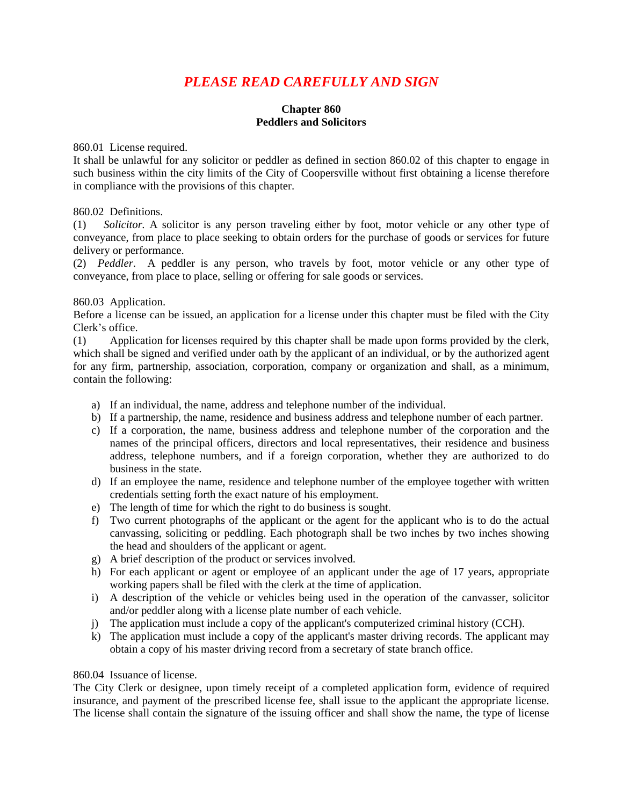# *PLEASE READ CAREFULLY AND SIGN*

## **Chapter 860 Peddlers and Solicitors**

860.01 License required.

It shall be unlawful for any solicitor or peddler as defined in section 860.02 of this chapter to engage in such business within the city limits of the City of Coopersville without first obtaining a license therefore in compliance with the provisions of this chapter.

#### 860.02 Definitions.

(1) *Solicitor.* A solicitor is any person traveling either by foot, motor vehicle or any other type of conveyance, from place to place seeking to obtain orders for the purchase of goods or services for future delivery or performance.

(2) *Peddler*. A peddler is any person, who travels by foot, motor vehicle or any other type of conveyance, from place to place, selling or offering for sale goods or services.

#### 860.03 Application.

Before a license can be issued, an application for a license under this chapter must be filed with the City Clerk's office.

(1) Application for licenses required by this chapter shall be made upon forms provided by the clerk, which shall be signed and verified under oath by the applicant of an individual, or by the authorized agent for any firm, partnership, association, corporation, company or organization and shall, as a minimum, contain the following:

- a) If an individual, the name, address and telephone number of the individual.
- b) If a partnership, the name, residence and business address and telephone number of each partner.
- c) If a corporation, the name, business address and telephone number of the corporation and the names of the principal officers, directors and local representatives, their residence and business address, telephone numbers, and if a foreign corporation, whether they are authorized to do business in the state.
- d) If an employee the name, residence and telephone number of the employee together with written credentials setting forth the exact nature of his employment.
- e) The length of time for which the right to do business is sought.
- f) Two current photographs of the applicant or the agent for the applicant who is to do the actual canvassing, soliciting or peddling. Each photograph shall be two inches by two inches showing the head and shoulders of the applicant or agent.
- g) A brief description of the product or services involved.
- h) For each applicant or agent or employee of an applicant under the age of 17 years, appropriate working papers shall be filed with the clerk at the time of application.
- i) A description of the vehicle or vehicles being used in the operation of the canvasser, solicitor and/or peddler along with a license plate number of each vehicle.
- j) The application must include a copy of the applicant's computerized criminal history (CCH).
- k) The application must include a copy of the applicant's master driving records. The applicant may obtain a copy of his master driving record from a secretary of state branch office.

#### 860.04 Issuance of license.

The City Clerk or designee, upon timely receipt of a completed application form, evidence of required insurance, and payment of the prescribed license fee, shall issue to the applicant the appropriate license. The license shall contain the signature of the issuing officer and shall show the name, the type of license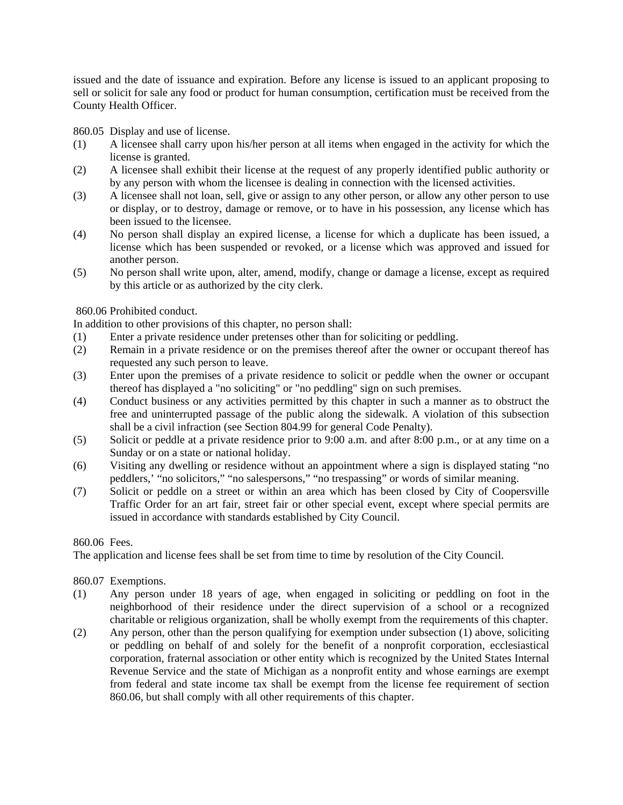issued and the date of issuance and expiration. Before any license is issued to an applicant proposing to sell or solicit for sale any food or product for human consumption, certification must be received from the County Health Officer.

860.05 Display and use of license.

- (1) A licensee shall carry upon his/her person at all items when engaged in the activity for which the license is granted.
- (2) A licensee shall exhibit their license at the request of any properly identified public authority or by any person with whom the licensee is dealing in connection with the licensed activities.
- (3) A licensee shall not loan, sell, give or assign to any other person, or allow any other person to use or display, or to destroy, damage or remove, or to have in his possession, any license which has been issued to the licensee.
- (4) No person shall display an expired license, a license for which a duplicate has been issued, a license which has been suspended or revoked, or a license which was approved and issued for another person.
- (5) No person shall write upon, alter, amend, modify, change or damage a license, except as required by this article or as authorized by the city clerk.

860.06 Prohibited conduct.

In addition to other provisions of this chapter, no person shall:

- (1) Enter a private residence under pretenses other than for soliciting or peddling.
- (2) Remain in a private residence or on the premises thereof after the owner or occupant thereof has requested any such person to leave.
- (3) Enter upon the premises of a private residence to solicit or peddle when the owner or occupant thereof has displayed a "no soliciting" or "no peddling" sign on such premises.
- (4) Conduct business or any activities permitted by this chapter in such a manner as to obstruct the free and uninterrupted passage of the public along the sidewalk. A violation of this subsection shall be a civil infraction (see Section 804.99 for general Code Penalty).
- (5) Solicit or peddle at a private residence prior to 9:00 a.m. and after 8:00 p.m., or at any time on a Sunday or on a state or national holiday.
- (6) Visiting any dwelling or residence without an appointment where a sign is displayed stating "no peddlers,' "no solicitors," "no salespersons," "no trespassing" or words of similar meaning.
- (7) Solicit or peddle on a street or within an area which has been closed by City of Coopersville Traffic Order for an art fair, street fair or other special event, except where special permits are issued in accordance with standards established by City Council.

## 860.06 Fees.

The application and license fees shall be set from time to time by resolution of the City Council.

## 860.07 Exemptions.

- (1) Any person under 18 years of age, when engaged in soliciting or peddling on foot in the neighborhood of their residence under the direct supervision of a school or a recognized charitable or religious organization, shall be wholly exempt from the requirements of this chapter.
- (2) Any person, other than the person qualifying for exemption under subsection (1) above, soliciting or peddling on behalf of and solely for the benefit of a nonprofit corporation, ecclesiastical corporation, fraternal association or other entity which is recognized by the United States Internal Revenue Service and the state of Michigan as a nonprofit entity and whose earnings are exempt from federal and state income tax shall be exempt from the license fee requirement of section 860.06, but shall comply with all other requirements of this chapter.